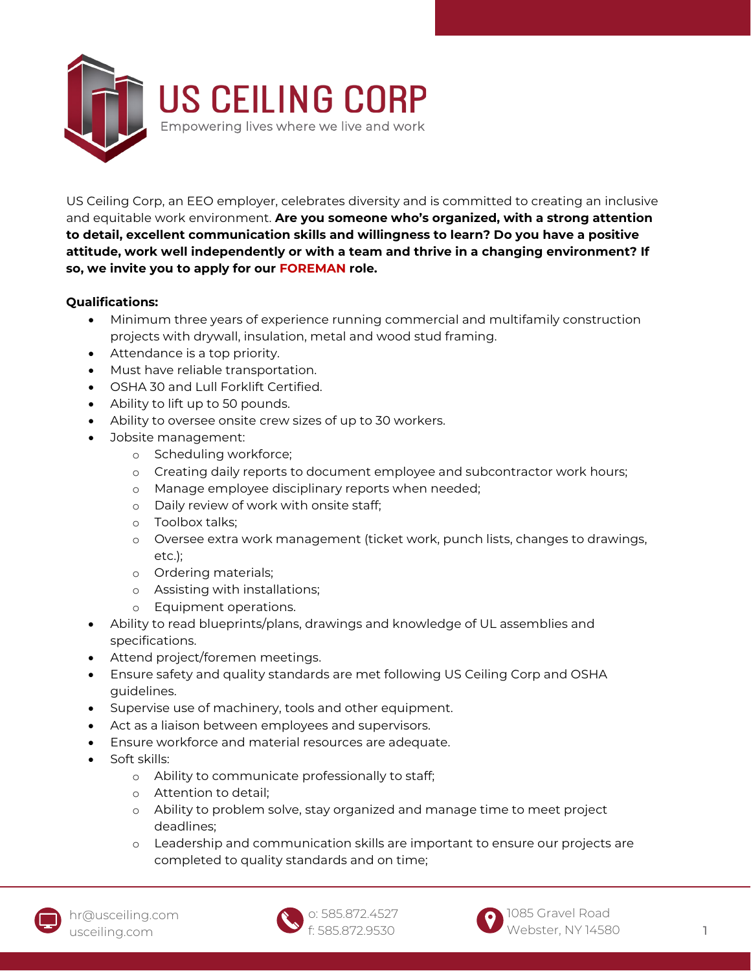

US Ceiling Corp, an EEO employer, celebrates diversity and is committed to creating an inclusive and equitable work environment. **Are you someone who's organized, with a strong attention to detail, excellent communication skills and willingness to learn? Do you have a positive attitude, work well independently or with a team and thrive in a changing environment? If so, we invite you to apply for our FOREMAN role.**

## **Qualifications:**

- Minimum three years of experience running commercial and multifamily construction projects with drywall, insulation, metal and wood stud framing.
- Attendance is a top priority.
- Must have reliable transportation.
- OSHA 30 and Lull Forklift Certified.
- Ability to lift up to 50 pounds.
- Ability to oversee onsite crew sizes of up to 30 workers.
- Jobsite management:
	- o Scheduling workforce;
	- o Creating daily reports to document employee and subcontractor work hours;
	- o Manage employee disciplinary reports when needed;
	- o Daily review of work with onsite staff;
	- o Toolbox talks;
	- o Oversee extra work management (ticket work, punch lists, changes to drawings, etc.);
	- o Ordering materials;
	- o Assisting with installations;
	- o Equipment operations.
- Ability to read blueprints/plans, drawings and knowledge of UL assemblies and specifications.
- Attend project/foremen meetings.
- Ensure safety and quality standards are met following US Ceiling Corp and OSHA guidelines.
- Supervise use of machinery, tools and other equipment.
- Act as a liaison between employees and supervisors.
- Ensure workforce and material resources are adequate.
- Soft skills:
	- o Ability to communicate professionally to staff;
	- o Attention to detail;
	- o Ability to problem solve, stay organized and manage time to meet project deadlines;
	- o Leadership and communication skills are important to ensure our projects are completed to quality standards and on time;